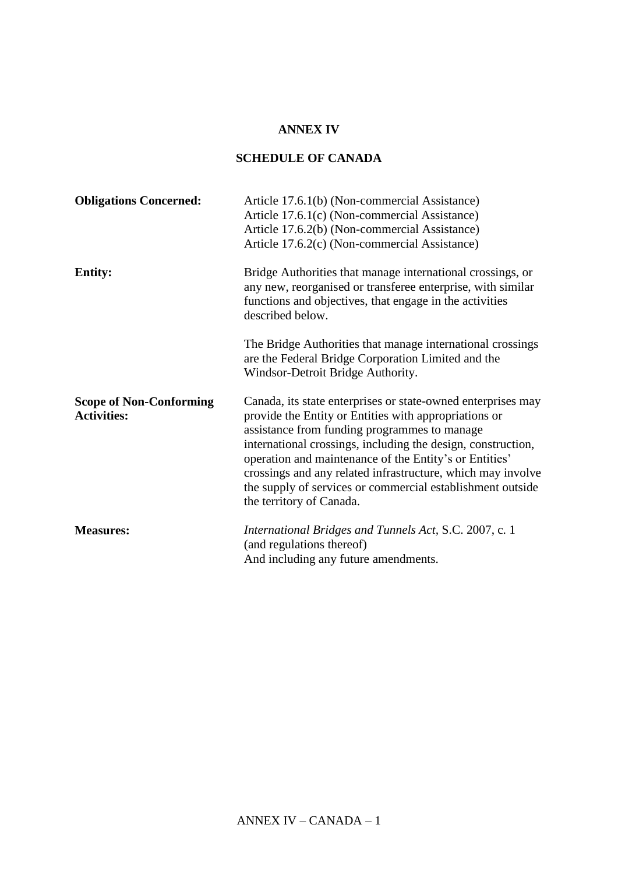## **ANNEX IV**

## **SCHEDULE OF CANADA**

| <b>Obligations Concerned:</b>                        | Article 17.6.1(b) (Non-commercial Assistance)<br>Article 17.6.1(c) (Non-commercial Assistance)<br>Article 17.6.2(b) (Non-commercial Assistance)<br>Article 17.6.2(c) (Non-commercial Assistance)                                                                                                                                                                                                                                                         |
|------------------------------------------------------|----------------------------------------------------------------------------------------------------------------------------------------------------------------------------------------------------------------------------------------------------------------------------------------------------------------------------------------------------------------------------------------------------------------------------------------------------------|
| <b>Entity:</b>                                       | Bridge Authorities that manage international crossings, or<br>any new, reorganised or transferee enterprise, with similar<br>functions and objectives, that engage in the activities<br>described below.                                                                                                                                                                                                                                                 |
|                                                      | The Bridge Authorities that manage international crossings<br>are the Federal Bridge Corporation Limited and the<br>Windsor-Detroit Bridge Authority.                                                                                                                                                                                                                                                                                                    |
| <b>Scope of Non-Conforming</b><br><b>Activities:</b> | Canada, its state enterprises or state-owned enterprises may<br>provide the Entity or Entities with appropriations or<br>assistance from funding programmes to manage<br>international crossings, including the design, construction,<br>operation and maintenance of the Entity's or Entities'<br>crossings and any related infrastructure, which may involve<br>the supply of services or commercial establishment outside<br>the territory of Canada. |
| <b>Measures:</b>                                     | International Bridges and Tunnels Act, S.C. 2007, c. 1<br>(and regulations thereof)<br>And including any future amendments.                                                                                                                                                                                                                                                                                                                              |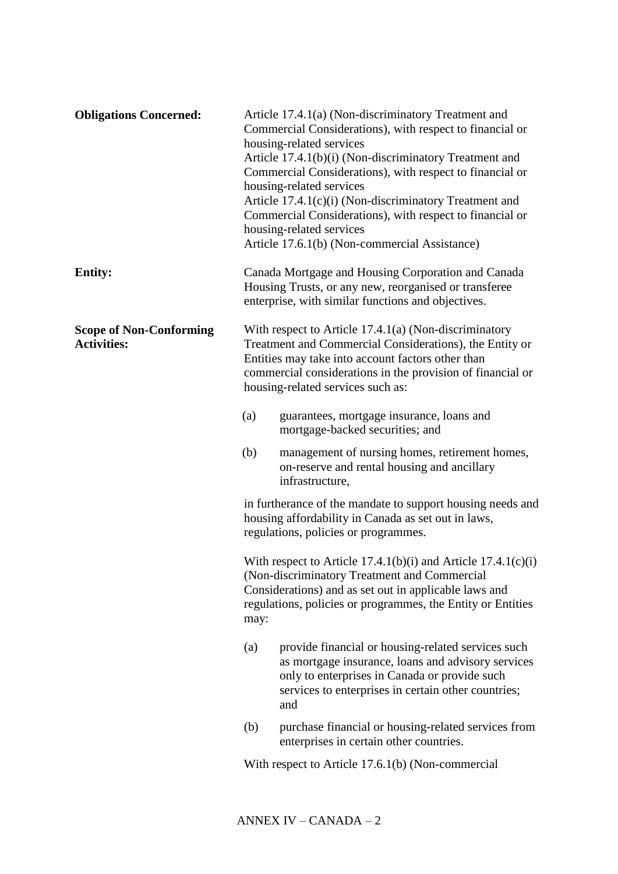| <b>Obligations Concerned:</b>                        |      | Article 17.4.1(a) (Non-discriminatory Treatment and<br>Commercial Considerations), with respect to financial or<br>housing-related services<br>Article 17.4.1(b)(i) (Non-discriminatory Treatment and<br>Commercial Considerations), with respect to financial or<br>housing-related services<br>Article 17.4.1(c)(i) (Non-discriminatory Treatment and<br>Commercial Considerations), with respect to financial or<br>housing-related services<br>Article 17.6.1(b) (Non-commercial Assistance) |
|------------------------------------------------------|------|--------------------------------------------------------------------------------------------------------------------------------------------------------------------------------------------------------------------------------------------------------------------------------------------------------------------------------------------------------------------------------------------------------------------------------------------------------------------------------------------------|
| <b>Entity:</b>                                       |      | Canada Mortgage and Housing Corporation and Canada<br>Housing Trusts, or any new, reorganised or transferee<br>enterprise, with similar functions and objectives.                                                                                                                                                                                                                                                                                                                                |
| <b>Scope of Non-Conforming</b><br><b>Activities:</b> |      | With respect to Article $17.4.1(a)$ (Non-discriminatory<br>Treatment and Commercial Considerations), the Entity or<br>Entities may take into account factors other than<br>commercial considerations in the provision of financial or<br>housing-related services such as:                                                                                                                                                                                                                       |
|                                                      | (a)  | guarantees, mortgage insurance, loans and<br>mortgage-backed securities; and                                                                                                                                                                                                                                                                                                                                                                                                                     |
|                                                      | (b)  | management of nursing homes, retirement homes,<br>on-reserve and rental housing and ancillary<br>infrastructure,                                                                                                                                                                                                                                                                                                                                                                                 |
|                                                      |      | in furtherance of the mandate to support housing needs and<br>housing affordability in Canada as set out in laws,<br>regulations, policies or programmes.                                                                                                                                                                                                                                                                                                                                        |
|                                                      | may: | With respect to Article $17.4.1(b)(i)$ and Article $17.4.1(c)(i)$<br>(Non-discriminatory Treatment and Commercial<br>Considerations) and as set out in applicable laws and<br>regulations, policies or programmes, the Entity or Entities                                                                                                                                                                                                                                                        |
|                                                      | (a)  | provide financial or housing-related services such<br>as mortgage insurance, loans and advisory services<br>only to enterprises in Canada or provide such<br>services to enterprises in certain other countries;<br>and                                                                                                                                                                                                                                                                          |
|                                                      | (b)  | purchase financial or housing-related services from<br>enterprises in certain other countries.                                                                                                                                                                                                                                                                                                                                                                                                   |
|                                                      |      | With respect to Article 17.6.1(b) (Non-commercial                                                                                                                                                                                                                                                                                                                                                                                                                                                |
|                                                      |      |                                                                                                                                                                                                                                                                                                                                                                                                                                                                                                  |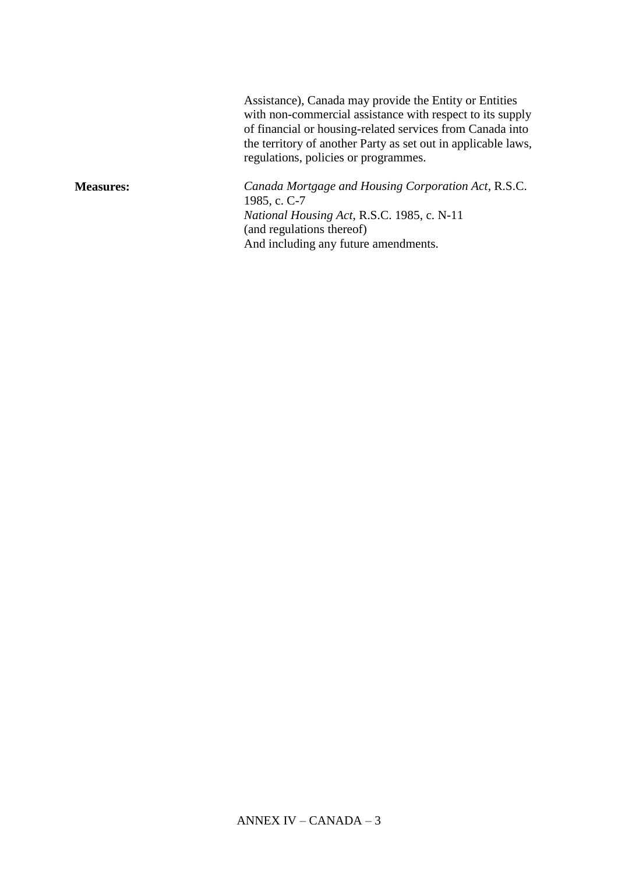Assistance), Canada may provide the Entity or Entities with non-commercial assistance with respect to its supply of financial or housing-related services from Canada into the territory of another Party as set out in applicable laws, regulations, policies or programmes.

**Measures:** *Canada Mortgage and Housing Corporation Act*, R.S.C. 1985, c. C-7 *National Housing Act*, R.S.C. 1985, c. N-11 (and regulations thereof) And including any future amendments.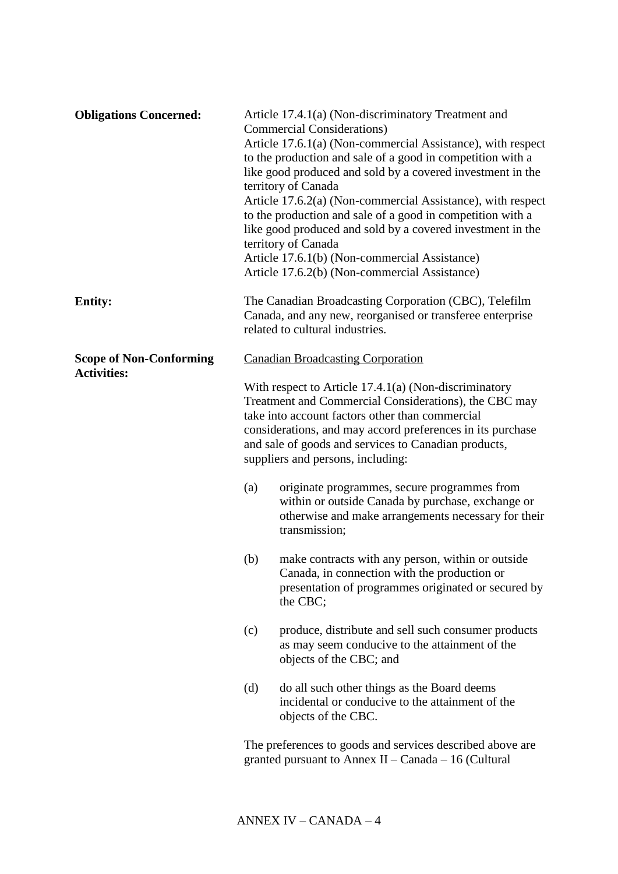| <b>Obligations Concerned:</b>  |     | Article 17.4.1(a) (Non-discriminatory Treatment and<br><b>Commercial Considerations</b> )<br>Article 17.6.1(a) (Non-commercial Assistance), with respect<br>to the production and sale of a good in competition with a<br>like good produced and sold by a covered investment in the<br>territory of Canada<br>Article 17.6.2(a) (Non-commercial Assistance), with respect<br>to the production and sale of a good in competition with a<br>like good produced and sold by a covered investment in the<br>territory of Canada<br>Article 17.6.1(b) (Non-commercial Assistance)<br>Article 17.6.2(b) (Non-commercial Assistance) |
|--------------------------------|-----|---------------------------------------------------------------------------------------------------------------------------------------------------------------------------------------------------------------------------------------------------------------------------------------------------------------------------------------------------------------------------------------------------------------------------------------------------------------------------------------------------------------------------------------------------------------------------------------------------------------------------------|
| <b>Entity:</b>                 |     | The Canadian Broadcasting Corporation (CBC), Telefilm<br>Canada, and any new, reorganised or transferee enterprise<br>related to cultural industries.                                                                                                                                                                                                                                                                                                                                                                                                                                                                           |
| <b>Scope of Non-Conforming</b> |     | <b>Canadian Broadcasting Corporation</b>                                                                                                                                                                                                                                                                                                                                                                                                                                                                                                                                                                                        |
| <b>Activities:</b>             |     | With respect to Article $17.4.1(a)$ (Non-discriminatory<br>Treatment and Commercial Considerations), the CBC may<br>take into account factors other than commercial<br>considerations, and may accord preferences in its purchase<br>and sale of goods and services to Canadian products,<br>suppliers and persons, including:                                                                                                                                                                                                                                                                                                  |
|                                | (a) | originate programmes, secure programmes from<br>within or outside Canada by purchase, exchange or<br>otherwise and make arrangements necessary for their<br>transmission;                                                                                                                                                                                                                                                                                                                                                                                                                                                       |
|                                | (b) | make contracts with any person, within or outside<br>Canada, in connection with the production or<br>presentation of programmes originated or secured by<br>the CBC;                                                                                                                                                                                                                                                                                                                                                                                                                                                            |
|                                | (c) | produce, distribute and sell such consumer products<br>as may seem conducive to the attainment of the<br>objects of the CBC; and                                                                                                                                                                                                                                                                                                                                                                                                                                                                                                |
|                                | (d) | do all such other things as the Board deems<br>incidental or conducive to the attainment of the<br>objects of the CBC.                                                                                                                                                                                                                                                                                                                                                                                                                                                                                                          |
|                                |     | The preferences to goods and services described above are<br>granted pursuant to Annex II – Canada – 16 (Cultural                                                                                                                                                                                                                                                                                                                                                                                                                                                                                                               |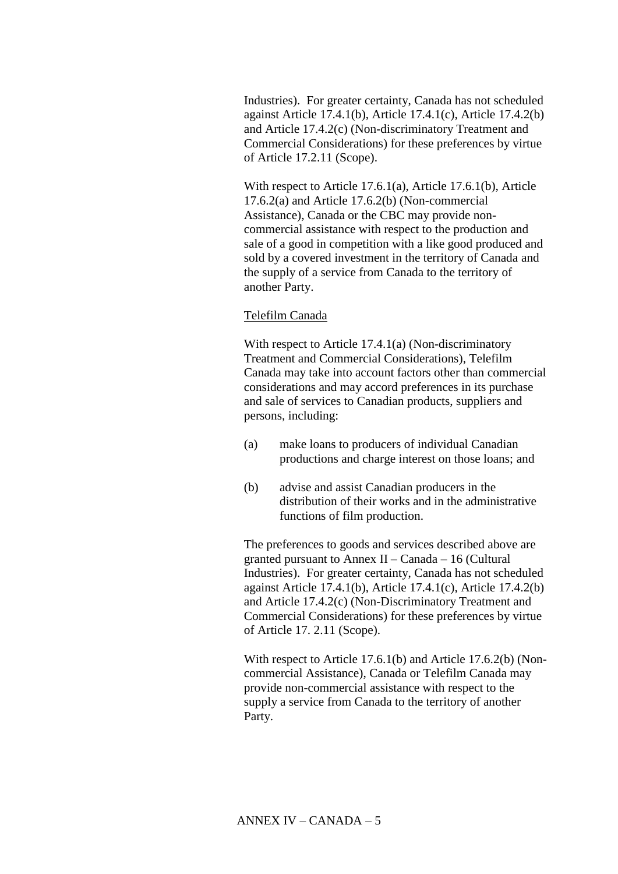Industries). For greater certainty, Canada has not scheduled against Article 17.4.1(b), Article 17.4.1(c), Article 17.4.2(b) and Article 17.4.2(c) (Non-discriminatory Treatment and Commercial Considerations) for these preferences by virtue of Article 17.2.11 (Scope).

With respect to Article 17.6.1(a), Article 17.6.1(b), Article 17.6.2(a) and Article 17.6.2(b) (Non-commercial Assistance), Canada or the CBC may provide noncommercial assistance with respect to the production and sale of a good in competition with a like good produced and sold by a covered investment in the territory of Canada and the supply of a service from Canada to the territory of another Party.

## Telefilm Canada

With respect to Article 17.4.1(a) (Non-discriminatory Treatment and Commercial Considerations), Telefilm Canada may take into account factors other than commercial considerations and may accord preferences in its purchase and sale of services to Canadian products, suppliers and persons, including:

- (a) make loans to producers of individual Canadian productions and charge interest on those loans; and
- (b) advise and assist Canadian producers in the distribution of their works and in the administrative functions of film production.

The preferences to goods and services described above are granted pursuant to Annex II – Canada – 16 (Cultural Industries). For greater certainty, Canada has not scheduled against Article 17.4.1(b), Article 17.4.1(c), Article 17.4.2(b) and Article 17.4.2(c) (Non-Discriminatory Treatment and Commercial Considerations) for these preferences by virtue of Article 17. 2.11 (Scope).

With respect to Article 17.6.1(b) and Article 17.6.2(b) (Noncommercial Assistance), Canada or Telefilm Canada may provide non-commercial assistance with respect to the supply a service from Canada to the territory of another Party.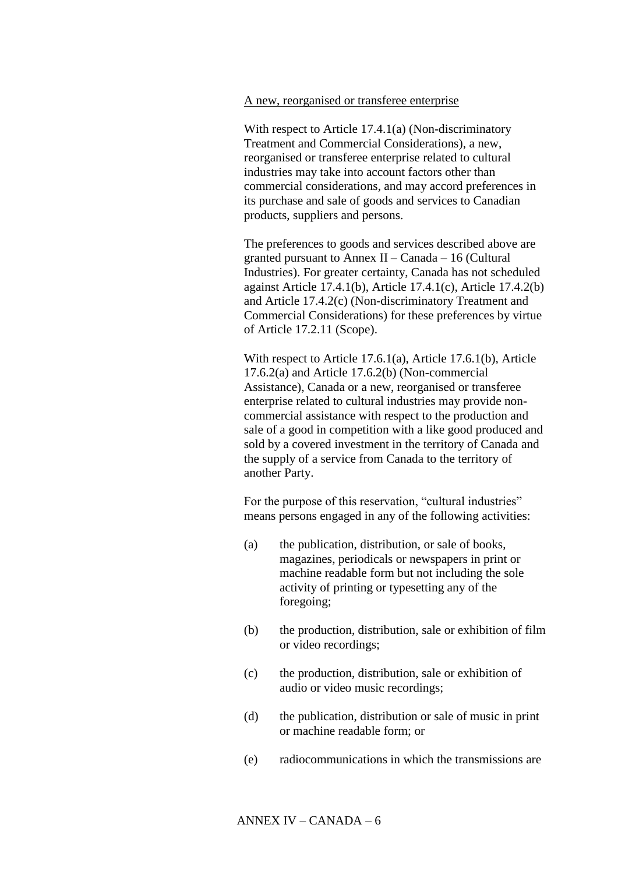## A new, reorganised or transferee enterprise

With respect to Article 17.4.1(a) (Non-discriminatory Treatment and Commercial Considerations), a new, reorganised or transferee enterprise related to cultural industries may take into account factors other than commercial considerations, and may accord preferences in its purchase and sale of goods and services to Canadian products, suppliers and persons.

The preferences to goods and services described above are granted pursuant to Annex II – Canada – 16 (Cultural Industries). For greater certainty, Canada has not scheduled against Article 17.4.1(b), Article 17.4.1(c), Article 17.4.2(b) and Article 17.4.2(c) (Non-discriminatory Treatment and Commercial Considerations) for these preferences by virtue of Article 17.2.11 (Scope).

With respect to Article 17.6.1(a), Article 17.6.1(b), Article 17.6.2(a) and Article 17.6.2(b) (Non-commercial Assistance), Canada or a new, reorganised or transferee enterprise related to cultural industries may provide noncommercial assistance with respect to the production and sale of a good in competition with a like good produced and sold by a covered investment in the territory of Canada and the supply of a service from Canada to the territory of another Party.

For the purpose of this reservation, "cultural industries" means persons engaged in any of the following activities:

- (a) the publication, distribution, or sale of books, magazines, periodicals or newspapers in print or machine readable form but not including the sole activity of printing or typesetting any of the foregoing;
- (b) the production, distribution, sale or exhibition of film or video recordings;
- (c) the production, distribution, sale or exhibition of audio or video music recordings;
- (d) the publication, distribution or sale of music in print or machine readable form; or
- (e) radiocommunications in which the transmissions are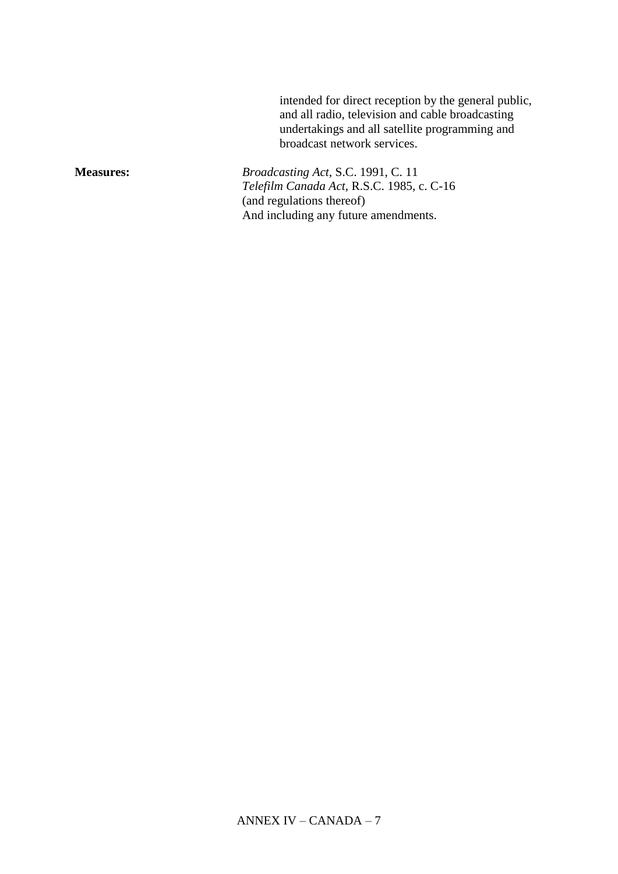intended for direct reception by the general public, and all radio, television and cable broadcasting undertakings and all satellite programming and broadcast network services.

**Measures:** *Broadcasting Act*, S.C. 1991, C. 11 *Telefilm Canada Act*, R.S.C. 1985, c. C-16 (and regulations thereof) And including any future amendments.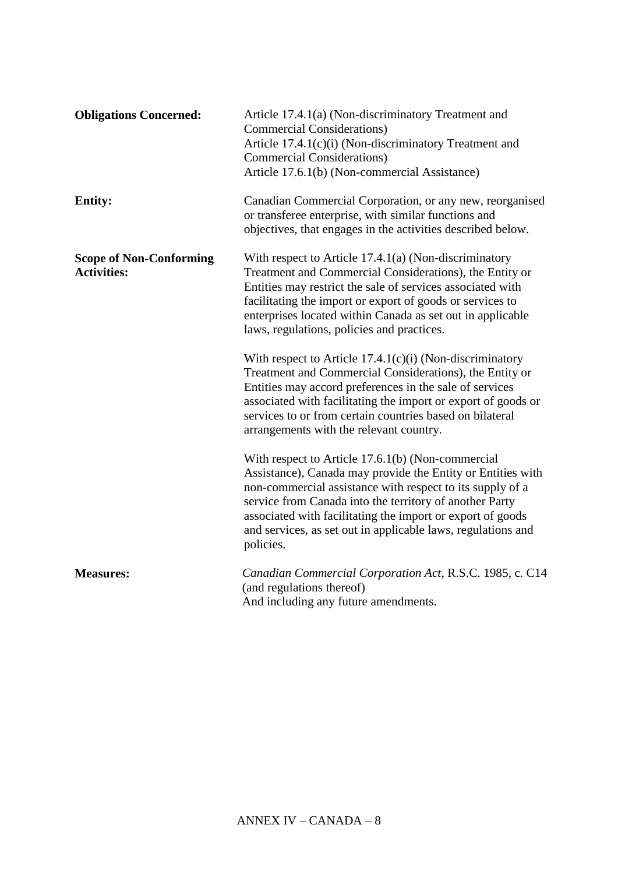| <b>Obligations Concerned:</b>                        | Article 17.4.1(a) (Non-discriminatory Treatment and<br><b>Commercial Considerations</b> )<br>Article 17.4.1(c)(i) (Non-discriminatory Treatment and<br><b>Commercial Considerations</b> )<br>Article 17.6.1(b) (Non-commercial Assistance)                                                                                                                                          |
|------------------------------------------------------|-------------------------------------------------------------------------------------------------------------------------------------------------------------------------------------------------------------------------------------------------------------------------------------------------------------------------------------------------------------------------------------|
| <b>Entity:</b>                                       | Canadian Commercial Corporation, or any new, reorganised<br>or transferee enterprise, with similar functions and<br>objectives, that engages in the activities described below.                                                                                                                                                                                                     |
| <b>Scope of Non-Conforming</b><br><b>Activities:</b> | With respect to Article $17.4.1(a)$ (Non-discriminatory<br>Treatment and Commercial Considerations), the Entity or<br>Entities may restrict the sale of services associated with<br>facilitating the import or export of goods or services to<br>enterprises located within Canada as set out in applicable<br>laws, regulations, policies and practices.                           |
|                                                      | With respect to Article $17.4.1(c)(i)$ (Non-discriminatory<br>Treatment and Commercial Considerations), the Entity or<br>Entities may accord preferences in the sale of services<br>associated with facilitating the import or export of goods or<br>services to or from certain countries based on bilateral<br>arrangements with the relevant country.                            |
|                                                      | With respect to Article 17.6.1(b) (Non-commercial<br>Assistance), Canada may provide the Entity or Entities with<br>non-commercial assistance with respect to its supply of a<br>service from Canada into the territory of another Party<br>associated with facilitating the import or export of goods<br>and services, as set out in applicable laws, regulations and<br>policies. |
| <b>Measures:</b>                                     | Canadian Commercial Corporation Act, R.S.C. 1985, c. C14<br>(and regulations thereof)<br>And including any future amendments.                                                                                                                                                                                                                                                       |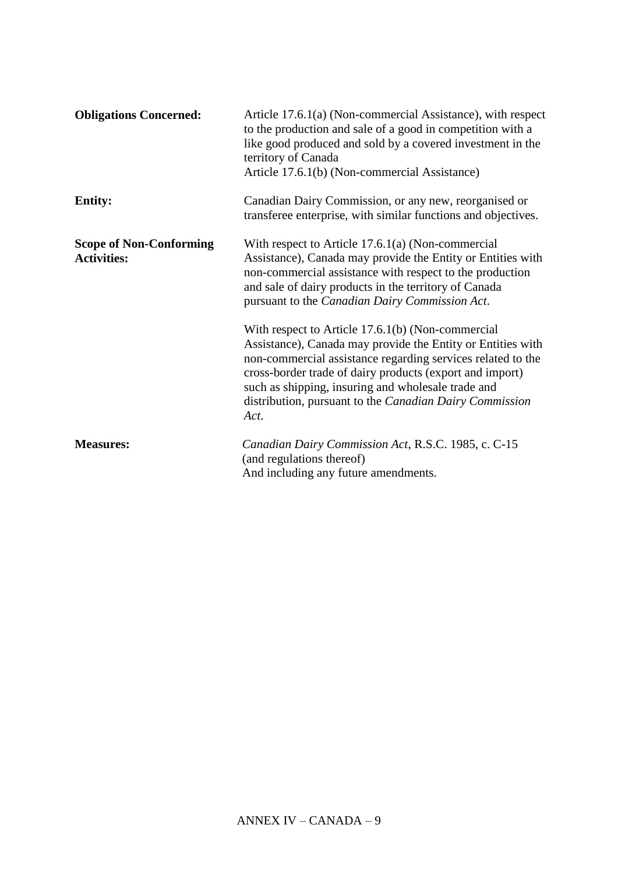| <b>Obligations Concerned:</b>                        | Article 17.6.1(a) (Non-commercial Assistance), with respect<br>to the production and sale of a good in competition with a<br>like good produced and sold by a covered investment in the<br>territory of Canada<br>Article 17.6.1(b) (Non-commercial Assistance)                                                                                                      |
|------------------------------------------------------|----------------------------------------------------------------------------------------------------------------------------------------------------------------------------------------------------------------------------------------------------------------------------------------------------------------------------------------------------------------------|
| <b>Entity:</b>                                       | Canadian Dairy Commission, or any new, reorganised or<br>transferee enterprise, with similar functions and objectives.                                                                                                                                                                                                                                               |
| <b>Scope of Non-Conforming</b><br><b>Activities:</b> | With respect to Article $17.6.1(a)$ (Non-commercial<br>Assistance), Canada may provide the Entity or Entities with<br>non-commercial assistance with respect to the production<br>and sale of dairy products in the territory of Canada<br>pursuant to the <i>Canadian Dairy Commission Act</i> .                                                                    |
|                                                      | With respect to Article 17.6.1(b) (Non-commercial<br>Assistance), Canada may provide the Entity or Entities with<br>non-commercial assistance regarding services related to the<br>cross-border trade of dairy products (export and import)<br>such as shipping, insuring and wholesale trade and<br>distribution, pursuant to the Canadian Dairy Commission<br>Act. |
| <b>Measures:</b>                                     | Canadian Dairy Commission Act, R.S.C. 1985, c. C-15<br>(and regulations thereof)<br>And including any future amendments.                                                                                                                                                                                                                                             |